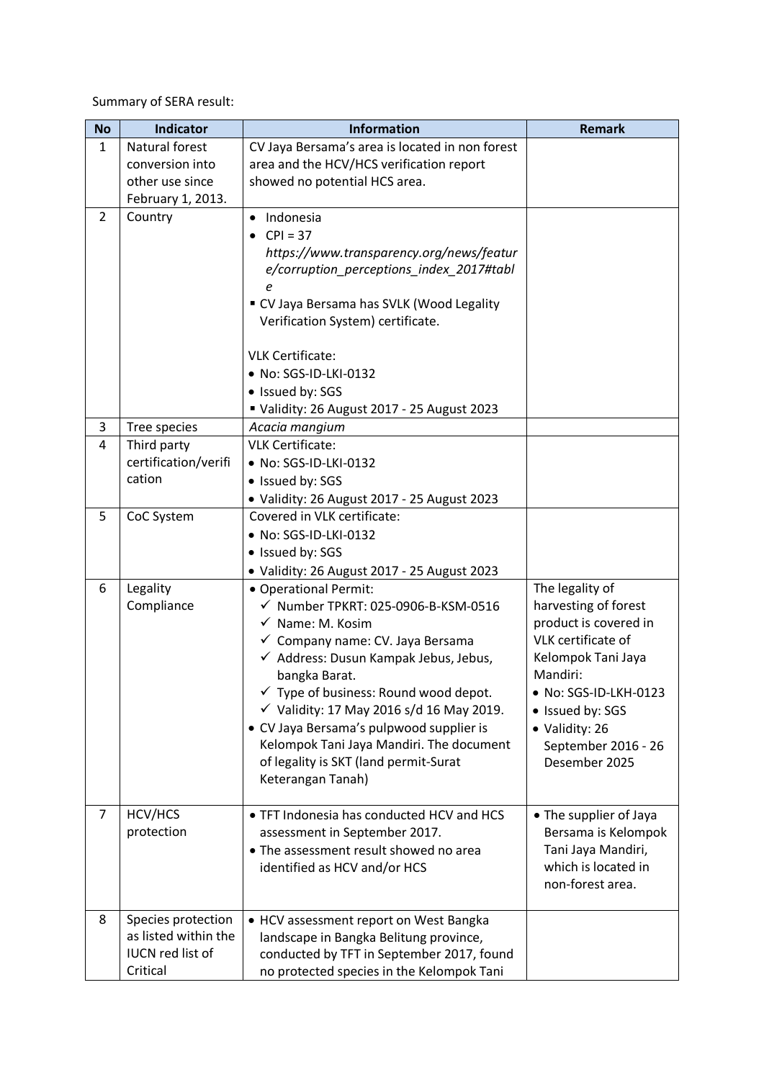Summary of SERA result:

| <b>No</b>      | <b>Indicator</b>                           | <b>Information</b>                                                                     | <b>Remark</b>          |
|----------------|--------------------------------------------|----------------------------------------------------------------------------------------|------------------------|
| $\mathbf{1}$   | Natural forest                             | CV Jaya Bersama's area is located in non forest                                        |                        |
|                | conversion into                            | area and the HCV/HCS verification report                                               |                        |
|                | other use since                            | showed no potential HCS area.                                                          |                        |
|                | February 1, 2013.                          |                                                                                        |                        |
| $\overline{2}$ | Country                                    | Indonesia                                                                              |                        |
|                |                                            | $CPI = 37$                                                                             |                        |
|                |                                            | https://www.transparency.org/news/featur                                               |                        |
|                |                                            | e/corruption perceptions index 2017#tabl                                               |                        |
|                |                                            | е                                                                                      |                        |
|                |                                            | " CV Jaya Bersama has SVLK (Wood Legality                                              |                        |
|                |                                            | Verification System) certificate.                                                      |                        |
|                |                                            | <b>VLK Certificate:</b>                                                                |                        |
|                |                                            | • No: SGS-ID-LKI-0132                                                                  |                        |
|                |                                            | · Issued by: SGS                                                                       |                        |
|                |                                            | Validity: 26 August 2017 - 25 August 2023                                              |                        |
| 3              | Tree species                               | Acacia mangium                                                                         |                        |
| 4              | Third party                                | <b>VLK Certificate:</b>                                                                |                        |
|                | certification/verifi                       | • No: SGS-ID-LKI-0132                                                                  |                        |
|                | cation                                     | • Issued by: SGS                                                                       |                        |
|                |                                            | • Validity: 26 August 2017 - 25 August 2023                                            |                        |
| 5              | CoC System                                 | Covered in VLK certificate:                                                            |                        |
|                |                                            | • No: SGS-ID-LKI-0132                                                                  |                        |
|                |                                            | • Issued by: SGS                                                                       |                        |
|                |                                            | · Validity: 26 August 2017 - 25 August 2023                                            |                        |
| 6              | Legality                                   | · Operational Permit:                                                                  | The legality of        |
|                | Compliance                                 | $\checkmark$ Number TPKRT: 025-0906-B-KSM-0516                                         | harvesting of forest   |
|                |                                            | $\checkmark$ Name: M. Kosim                                                            | product is covered in  |
|                |                                            | ✓ Company name: CV. Jaya Bersama                                                       | VLK certificate of     |
|                |                                            | √ Address: Dusun Kampak Jebus, Jebus,                                                  | Kelompok Tani Jaya     |
|                |                                            | bangka Barat.                                                                          | Mandiri:               |
|                |                                            | $\checkmark$ Type of business: Round wood depot.                                       | • No: SGS-ID-LKH-0123  |
|                |                                            | $\checkmark$ Validity: 17 May 2016 s/d 16 May 2019.                                    | • Issued by: SGS       |
|                |                                            | • CV Jaya Bersama's pulpwood supplier is                                               | · Validity: 26         |
|                |                                            | Kelompok Tani Jaya Mandiri. The document                                               | September 2016 - 26    |
|                |                                            | of legality is SKT (land permit-Surat                                                  | Desember 2025          |
|                |                                            | Keterangan Tanah)                                                                      |                        |
|                |                                            |                                                                                        |                        |
| $\overline{7}$ | HCV/HCS                                    | • TFT Indonesia has conducted HCV and HCS                                              | • The supplier of Jaya |
|                | protection                                 | assessment in September 2017.                                                          | Bersama is Kelompok    |
|                |                                            | • The assessment result showed no area                                                 | Tani Jaya Mandiri,     |
|                |                                            | identified as HCV and/or HCS                                                           | which is located in    |
|                |                                            |                                                                                        | non-forest area.       |
|                |                                            |                                                                                        |                        |
| 8              | Species protection<br>as listed within the | • HCV assessment report on West Bangka                                                 |                        |
|                | IUCN red list of                           | landscape in Bangka Belitung province,                                                 |                        |
|                | Critical                                   | conducted by TFT in September 2017, found<br>no protected species in the Kelompok Tani |                        |
|                |                                            |                                                                                        |                        |